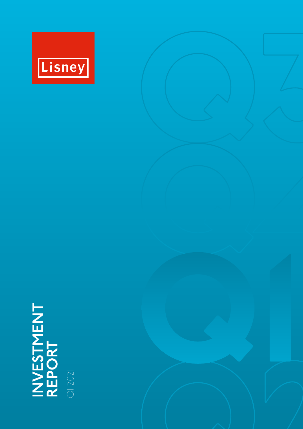

# **INVESTMENT REPORT** Q1 2021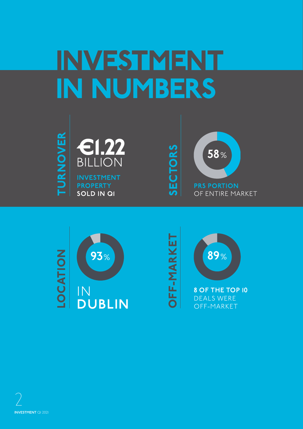## INVESTMENT IN NUMBERS









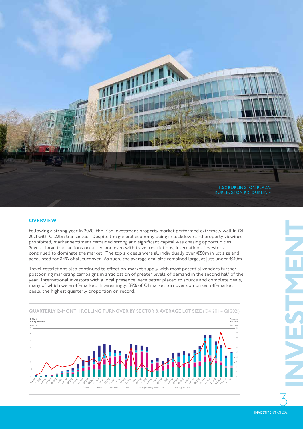

#### **OVERVIEW**

Following a strong year in 2020, the Irish investment property market performed extremely well in Q1 2021 with €1.22bn transacted. Despite the general economy being in lockdown and property viewings prohibited, market sentiment remained strong and significant capital was chasing opportunities. Several large transactions occurred and even with travel restrictions, international investors continued to dominate the market. The top six deals were all individually over €50m in lot size and accounted for 84% of all turnover. As such, the average deal size remained large, at just under €30m.

Travel restrictions also continued to effect on-market supply with most potential vendors further postponing marketing campaigns in anticipation of greater levels of demand in the second half of the year. International investors with a local presence were better placed to source and complete deals, many of which were off-market. Interestingly, 89% of Q1 market turnover comprised off-market deals, the highest quarterly proportion on record.



**QUARTERLY 12-MONTH ROLLING TURNOVER BY SECTOR & AVERAGE LOT SIZE** (Q4 2011 – Q1 2021)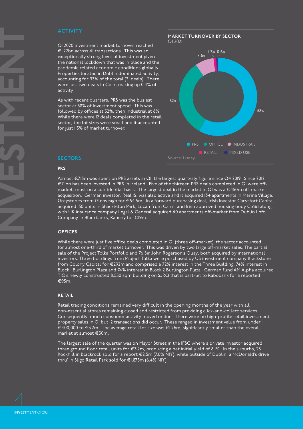Q1 2020 investment market turnover reached €1.22bn across 41 transactions. This was an exceptionally strong level of investment given the national lockdown that was in place and the pandemic related economic conditions globally. Properties located in Dublin dominated activity, accounting for 93% of the total (31 deals). There were just two deals in Cork, making up 0.4% of activity.

As with recent quarters, PRS was the busiest sector at 58% of investment spend. This was followed by offices at 32%, then industrial at 8%. While there were 12 deals completed in the retail sector, the lot sizes were small and it accounted for just 1.3% of market turnover.





#### **SECTORS**

#### **PRS**

Almost €713m was spent on PRS assets in Q1, the largest quarterly figure since Q4 2019. Since 2012, €7.1bn has been invested in PRS in Ireland. Five of the thirteen PRS deals completed in Q1 were offmarket, most on a confidential basis. The largest deal in the market in Q1 was a €450m off-market acquisition. German investor, Real IS, was also active and it acquired 134 apartments in Marina Village, Greystones from Glenveagh for €64.5m. In a forward purchasing deal, Irish investor Carysfort Capital acquired 150 units in Shackleton Park, Lucan from Cairn, and Irish approved housing body Clúid along with UK insurance company Legal & General acquired 40 apartments off-market from Dublin Loft Company in Blackbanks, Raheny for €19m.

#### **OFFICES**

While there were just five office deals completed in Q1 (three off-market), the sector accounted for almost one-third of market turnover. This was driven by two large off-market sales; The partial sale of the Project Tolka Portfolio and 76 Sir John Rogerson's Quay, both acquired by international investors. Three buildings from Project Tolka were purchased by US investment company Blackstone from Colony Capital for €292m and comprised a 72% interest in the Three Building, 74% interest in Block 1 Burlington Plaza and 74% interest in Block 2 Burlington Plaza. German fund AM Alpha acquired TIO's newly constructed 8,550 sqm building on SJRQ that is part-let to Rabobank for a reported €95m.

#### **RETAIL**

Retail trading conditions remained very difficult in the opening months of the year with all non-essential stores remaining closed and restricted from providing click-and-collect services. Consequently, much consumer activity moved online. There were no high-profile retail investment property sales in Q1 but 12 transactions did occur. These ranged in investment value from under €400,000 to €3.2m. The average retail lot size was €1.26m, significantly smaller than the overall market at almost €30m.

The largest sale of the quarter was on Mayor Street in the IFSC where a private investor acquired three ground floor retail units for €3.2m, producing a net initial yield of 8.1%. In the suburbs, 23 Rockhill in Blackrock sold for a report €2.5m (7.6% NIY), while outside of Dublin, a McDonald's drive thru' in Sligo Retail Park sold for €1.875m (6.4% NIY).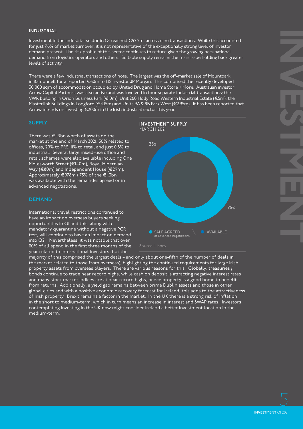#### **INDUSTRIAL**

Investment in the industrial sector in Q1 reached €92.2m, across nine transactions. While this accounted for just 7.6% of market turnover, it is not representative of the exceptionally strong level of investor demand present. The risk profile of this sector continues to reduce given the growing occupational demand from logistics operators and others. Suitable supply remains the main issue holding back greater levels of activity.

There were a few industrial transactions of note. The largest was the off-market sale of Mountpark in Baldonnell for a reported €60m to US investor JP Morgan. This comprised the recently developed 30,000 sqm of accommodation occupied by United Drug and Home Store + More. Australian investor Arrow Capital Partners was also active and was involved in four separate industrial transactions; the VWR building in Orion Business Park (€10m), Unit 260 Holly Road Western Industrial Estate (€5m), the Masterlink Buildings in Longford (€4.15m) and Units 9A & 9B Park West (€2.95m). It has been reported that Arrow intends on investing €200m in the Irish industrial sector this year.

#### **SUPPLY**

There was €1.3bn worth of assets on the market at the end of March 2021; 36% related to offices, 29% to PRS, 11% to retail and just 0.8% to industrial. Several large mixed-use office and retail schemes were also available including One Molesworth Street (€140m), Royal Hibernian Way (€80m) and Independent House (€29m). Approximately €978m / 75% of the €1.3bn was available with the remainder agreed or in advanced negotiations.

#### **DEMAND**

International travel restrictions continued to have an impact on overseas buyers seeking opportunities in Q1 and this, along with mandatory quarantine without a negative PCR test, will continue to have an impact on demand into Q2. Nevertheless, it was notable that over 80% of all spend in the first three months of the year related to international investors (but the



majority of this comprised the largest deals – and only about one-fifth of the number of deals in the market related to those from overseas), highlighting the continued requirements for large Irish property assets from overseas players. There are various reasons for this. Globally, treasuries / bonds continue to trade near record highs, while cash on deposit is attracting negative interest rates and many stock market indices are at near record highs, hence property is a good home to benefit from returns. Additionally, a yield gap remains between prime Dublin assets and those in other global cities and with a positive economic recovery forecast for Ireland, this adds to the attractiveness of Irish property. Brexit remains a factor in the market. In the UK there is a strong risk of inflation in the short to medium-term, which in turn means an increase in interest and SWAP rates. Investors contemplating investing in the UK now might consider Ireland a better investment location in the medium-term.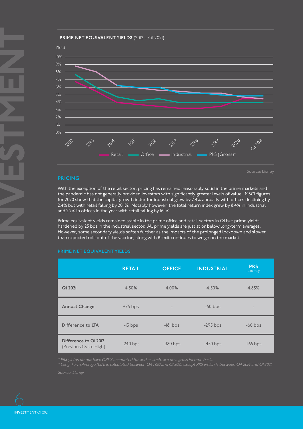#### **PRIME NET EQUIVALENT YIELDS** (2012 – Q1 2021)



#### **PRICING**

With the exception of the retail sector, pricing has remained reasonably solid in the prime markets and the pandemic has not generally provided investors with significantly greater levels of value. MSCI figures for 2020 show that the capital growth index for industrial grew by 2.4% annually with offices declining by 2.4% but with retail falling by 20.1%. Notably however, the total return index grew by 8.4% in industrial and 2.2% in offices in the year with retail falling by 16.1%.

Source: Lisney

Prime equivalent yields remained stable in the prime office and retail sectors in Q1 but prime yields hardened by 25 bps in the industrial sector. All prime yields are just at or below long-term averages. However, some secondary yields soften further as the impacts of the prolonged lockdown and slower than expected roll-out of the vaccine, along with Brexit continues to weigh on the market.

|                                                | <b>RETAIL</b> | <b>OFFICE</b>            | <b>INDUSTRIAL</b> | <b>PRS</b><br>(GROSS)* |
|------------------------------------------------|---------------|--------------------------|-------------------|------------------------|
| QI 2021                                        | 4.50%         | 4.00%                    | 4.50%             | 4.85%                  |
| <b>Annual Change</b>                           | $+75$ bps     | $\overline{\phantom{a}}$ | $-50$ bps         |                        |
| Difference to LTA                              | $-13$ bps     | $-181$ bps               | $-295$ bps        | $-66$ bps              |
| Difference to QI 2012<br>(Previous Cycle High) | $-240$ bps    | $-380$ bps               | $-450$ bps        | $-165$ bps             |

#### **PRIME NET EQUIVALENT YIELDS**

\* Long-Term Average (LTA) is calculated between Q4 1980 and Q1 2021, except PRS which is between Q4 2014 and Q1 2021.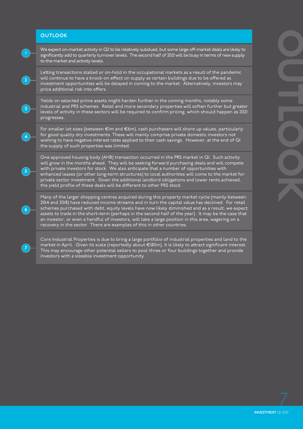#### **OUTLOOK**



**2**

**3**

**4**

**5**

**6**

**7**

We expect on-market activity in Q2 to be relatively subdued, but some large off-market deals are likely to significantly add to quarterly turnover levels. The second half of 2021 will be busy in terms of new supply to the market and activity levels.

Letting transactions stalled or on-hold in the occupational markets as a result of the pandemic will continue to have a knock-on effect on supply as certain buildings due to be offered as investment opportunities will be delayed in coming to the market. Alternatively, investors may price additional risk into offers.

Yields on selected prime assets might harden further in the coming months, notably some industrial and PRS schemes. Retail and more secondary properties will soften further but greater levels of activity in these sectors will be required to confirm pricing, which should happen as 2021 progresses.

For smaller lot sizes (between €1m and €6m), cash purchasers will shore up values, particularly for good quality dry investments. These will mainly comprise private domestic investors not wishing to have negative interest rates applied to their cash savings. However, at the end of Q1 the supply of such properties was limited.

One approved housing body (AHB) transaction occurred in the PRS market in Q1. Such activity will grow in the months ahead. They will be seeking forward purchasing deals and will compete with private investors for stock. We also anticipate that a number of opportunities with enhanced leases (or other long-term structures) to local authorities will come to the market for private sector investment. Given the additional landlord obligations and lower rents achieved, the yield profile of these deals will be different to other PRS stock.

Many of the larger shopping centres acquired during this property market cycle (mainly between 2014 and 2018) have reduced income streams and in turn the capital value has declined. For retail schemes purchased with debt, equity levels have now likely diminished and as a result, we expect assets to trade in the short-term (perhaps in the second half of the year). It may be the case that an investor, or even a handful of investors, will take a large position in this area, wagering on a recovery in the sector. There are examples of this in other countries.

Core Industrial Properties is due to bring a large portfolio of industrial properties and land to the market in April. Given its scale (reportedly about €180m), it is likely to attract significant interest. This may encourage other potential sellers to pool three or four buildings together and provide investors with a sizeable investment opportunity.